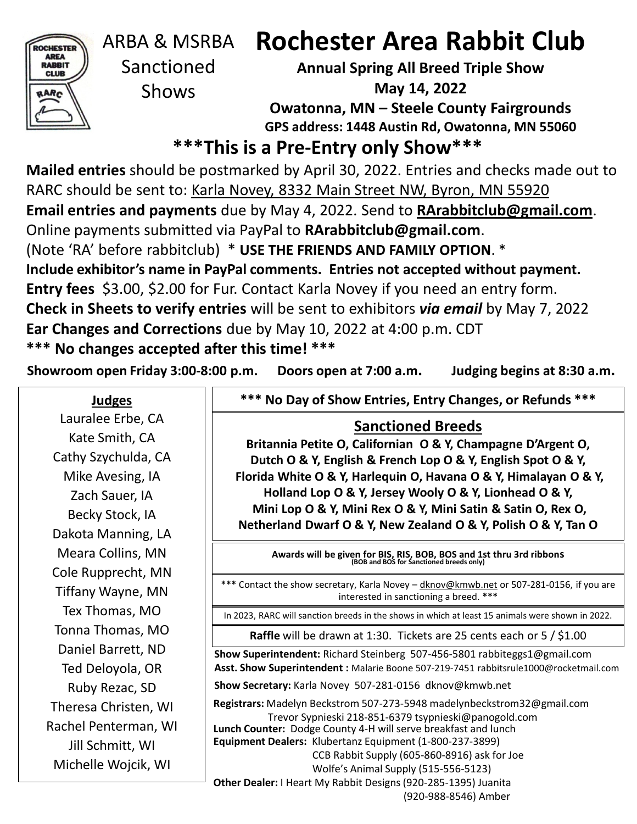

# ARBA & MSRBA

Sanctioned Shows

# **Rochester Area Rabbit Club**

**Annual Spring All Breed Triple Show May 14, 2022 Owatonna, MN – Steele County Fairgrounds GPS address: 1448 Austin Rd, Owatonna, MN 55060**

## **\*\*\*This is a Pre-Entry only Show\*\*\***

**Mailed entries** should be postmarked by April 30, 2022. Entries and checks made out to RARC should be sent to: Karla Novey, 8332 Main Street NW, Byron, MN 55920 **Email entries and payments** due by May 4, 2022. Send to **RArabbitclub@gmail.com**. Online payments submitted via PayPal to **RArabbitclub@gmail.com**. (Note 'RA' before rabbitclub) \* **USE THE FRIENDS AND FAMILY OPTION**. \* **Include exhibitor's name in PayPal comments. Entries not accepted without payment. Entry fees** \$3.00, \$2.00 for Fur. Contact Karla Novey if you need an entry form. **Check in Sheets to verify entries** will be sent to exhibitors *via email* by May 7, 2022 **Ear Changes and Corrections** due by May 10, 2022 at 4:00 p.m. CDT **\*\*\* No changes accepted after this time! \*\*\***

**Showroom open Friday 3:00-8:00 p.m. Doors open at 7:00 a.m. Judging begins at 8:30 a.m.**

**Judges** Lauralee Erbe, CA Kate Smith, CA Cathy Szychulda, CA Mike Avesing, IA Zach Sauer, IA Becky Stock, IA Dakota Manning, LA Meara Collins, MN Cole Rupprecht, MN Tiffany Wayne, MN Tex Thomas, MO Tonna Thomas, MO Daniel Barrett, ND Ted Deloyola, OR Ruby Rezac, SD Theresa Christen, WI Rachel Penterman, WI Jill Schmitt, WI Michelle Wojcik, WI

**\*\*\* No Day of Show Entries, Entry Changes, or Refunds \*\*\***

## **Sanctioned Breeds**

**Britannia Petite O, Californian O & Y, Champagne D'Argent O, Dutch O & Y, English & French Lop O & Y, English Spot O & Y, Florida White O & Y, Harlequin O, Havana O & Y, Himalayan O & Y, Holland Lop O & Y, Jersey Wooly O & Y, Lionhead O & Y, Mini Lop O & Y, Mini Rex O & Y, Mini Satin & Satin O, Rex O, Netherland Dwarf O & Y, New Zealand O & Y, Polish O & Y, Tan O**

**Awards will be given for BIS, RIS, BOB, BOS and 1st thru 3rd ribbons (BOB and BOS for Sanctioned breeds only)**

**\*\*\*** Contact the show secretary, Karla Novey – dknov@kmwb.net or 507-281-0156, if you are interested in sanctioning a breed. **\*\*\***

In 2023, RARC will sanction breeds in the shows in which at least 15 animals were shown in 2022.

**Raffle** will be drawn at 1:30. Tickets are 25 cents each or 5 / \$1.00

**Show Superintendent:** Richard Steinberg 507-456-5801 rabbiteggs1@gmail.com **Asst. Show Superintendent :** Malarie Boone 507-219-7451 rabbitsrule1000@rocketmail.com

**Show Secretary:** Karla Novey 507-281-0156 dknov@kmwb.net

**Lunch Counter:** Dodge County 4-H will serve breakfast and lunch **Registrars:** Madelyn Beckstrom 507-273-5948 madelynbeckstrom32@gmail.com Trevor Sypnieski 218-851-6379 tsypnieski@panogold.com

**Equipment Dealers:** Klubertanz Equipment (1-800-237-3899)

CCB Rabbit Supply (605-860-8916) ask for Joe

Wolfe's Animal Supply (515-556-5123)

**Other Dealer:** I Heart My Rabbit Designs (920-285-1395) Juanita

(920-988-8546) Amber